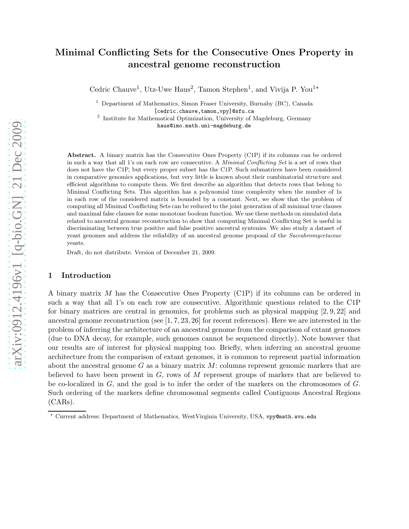# Minimal Conflicting Sets for the Consecutive Ones Property in ancestral genome reconstruction

Cedric Chauve<sup>1</sup>, Utz-Uwe Haus<sup>2</sup>, Tamon Stephen<sup>1</sup>, and Vivija P. You<sup>1\*</sup>

<sup>1</sup> Department of Mathematics, Simon Fraser University, Burnaby (BC), Canada [cedric.chauve,tamon,vpy]@sfu.ca

<sup>2</sup> Institute for Mathematical Optimization, University of Magdeburg, Germany haus@imo.math.uni-magdeburg.de

Abstract. A binary matrix has the Consecutive Ones Property (C1P) if its columns can be ordered in such a way that all 1's on each row are consecutive. A Minimal Conflicting Set is a set of rows that does not have the C1P, but every proper subset has the C1P. Such submatrices have been considered in comparative genomics applications, but very little is known about their combinatorial structure and efficient algorithms to compute them. We first describe an algorithm that detects rows that belong to Minimal Conflicting Sets. This algorithm has a polynomial time complexity when the number of 1s in each row of the considered matrix is bounded by a constant. Next, we show that the problem of computing all Minimal Conflicting Sets can be reduced to the joint generation of all minimal true clauses and maximal false clauses for some monotone boolean function. We use these methods on simulated data related to ancestral genome reconstruction to show that computing Minimal Conflicting Set is useful in discriminating between true positive and false positive ancestral syntenies. We also study a dataset of yeast genomes and address the reliability of an ancestral genome proposal of the Saccahromycetaceae yeasts.

Draft, do not distribute. Version of December 21, 2009.

### 1 Introduction

A binary matrix M has the Consecutive Ones Property (C1P) if its columns can be ordered in such a way that all 1's on each row are consecutive. Algorithmic questions related to the C1P for binary matrices are central in genomics, for problems such as physical mapping [2, 9, 22] and ancestral genome reconstruction (see [1, 7, 23, 26] for recent references). Here we are interested in the problem of inferring the architecture of an ancestral genome from the comparison of extant genomes (due to DNA decay, for example, such genomes cannot be sequenced directly). Note however that our results are of interest for physical mapping too. Briefly, when inferring an ancestral genome architecture from the comparison of extant genomes, it is common to represent partial information about the ancestral genome  $G$  as a binary matrix  $M$ : columns represent genomic markers that are believed to have been present in  $G$ , rows of  $M$  represent groups of markers that are believed to be co-localized in G, and the goal is to infer the order of the markers on the chromosomes of G. Such ordering of the markers define chromosomal segments called Contiguous Ancestral Regions (CARs).

<sup>⋆</sup> Current address: Department of Mathematics, WestVirginia University, USA, vpy@math.wvu.edu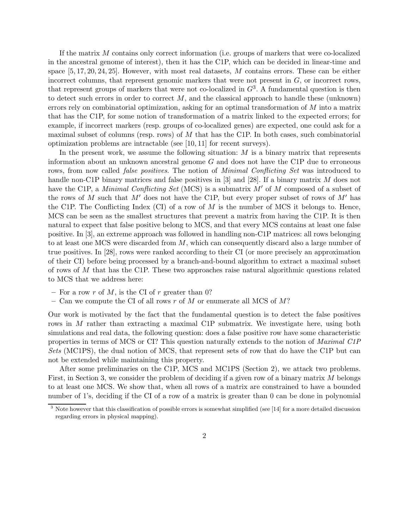If the matrix M contains only correct information (i.e. groups of markers that were co-localized in the ancestral genome of interest), then it has the C1P, which can be decided in linear-time and space  $[5, 17, 20, 24, 25]$ . However, with most real datasets, M contains errors. These can be either incorrect columns, that represent genomic markers that were not present in  $G$ , or incorrect rows, that represent groups of markers that were not co-localized in  $G<sup>3</sup>$ . A fundamental question is then to detect such errors in order to correct  $M$ , and the classical approach to handle these (unknown) errors rely on combinatorial optimization, asking for an optimal transformation of M into a matrix that has the C1P, for some notion of transformation of a matrix linked to the expected errors; for example, if incorrect markers (resp. groups of co-localized genes) are expected, one could ask for a maximal subset of columns (resp. rows) of  $M$  that has the C1P. In both cases, such combinatorial optimization problems are intractable (see [10, 11] for recent surveys).

In the present work, we assume the following situation:  $M$  is a binary matrix that represents information about an unknown ancestral genome G and does not have the C1P due to erroneous rows, from now called *false positives*. The notion of *Minimal Conflicting Set* was introduced to handle non-C1P binary matrices and false positives in [3] and [28]. If a binary matrix M does not have the C1P, a *Minimal Conflicting Set* (MCS) is a submatrix M' of M composed of a subset of the rows of M such that  $M'$  does not have the C1P, but every proper subset of rows of  $M'$  has the C1P. The Conflicting Index (CI) of a row of  $M$  is the number of MCS it belongs to. Hence, MCS can be seen as the smallest structures that prevent a matrix from having the C1P. It is then natural to expect that false positive belong to MCS, and that every MCS contains at least one false positive. In [3], an extreme approach was followed in handling non-C1P matrices: all rows belonging to at least one MCS were discarded from  $M$ , which can consequently discard also a large number of true positives. In [28], rows were ranked according to their CI (or more precisely an approximation of their CI) before being processed by a branch-and-bound algorithm to extract a maximal subset of rows of M that has the C1P. These two approaches raise natural algorithmic questions related to MCS that we address here:

- For a row r of M, is the CI of r greater than 0?
- Can we compute the CI of all rows r of M or enumerate all MCS of  $M$ ?

Our work is motivated by the fact that the fundamental question is to detect the false positives rows in M rather than extracting a maximal C1P submatrix. We investigate here, using both simulations and real data, the following question: does a false positive row have some characteristic properties in terms of MCS or CI? This question naturally extends to the notion of Maximal C1P Sets (MC1PS), the dual notion of MCS, that represent sets of row that do have the C1P but can not be extended while maintaining this property.

After some preliminaries on the C1P, MCS and MC1PS (Section 2), we attack two problems. First, in Section 3, we consider the problem of deciding if a given row of a binary matrix M belongs to at least one MCS. We show that, when all rows of a matrix are constrained to have a bounded number of 1's, deciding if the CI of a row of a matrix is greater than 0 can be done in polynomial

<sup>3</sup> Note however that this classification of possible errors is somewhat simplified (see [14] for a more detailed discussion regarding errors in physical mapping).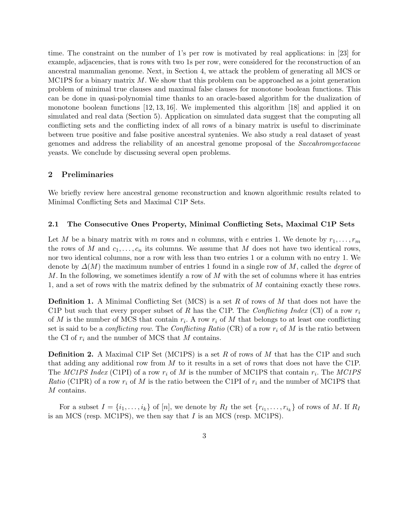time. The constraint on the number of 1's per row is motivated by real applications: in [23] for example, adjacencies, that is rows with two 1s per row, were considered for the reconstruction of an ancestral mammalian genome. Next, in Section 4, we attack the problem of generating all MCS or MC1PS for a binary matrix  $M$ . We show that this problem can be approached as a joint generation problem of minimal true clauses and maximal false clauses for monotone boolean functions. This can be done in quasi-polynomial time thanks to an oracle-based algorithm for the dualization of monotone boolean functions [12, 13, 16]. We implemented this algorithm [18] and applied it on simulated and real data (Section 5). Application on simulated data suggest that the computing all conflicting sets and the conflicting index of all rows of a binary matrix is useful to discriminate between true positive and false positive ancestral syntenies. We also study a real dataset of yeast genomes and address the reliability of an ancestral genome proposal of the Saccahromycetaceae yeasts. We conclude by discussing several open problems.

## 2 Preliminaries

We briefly review here ancestral genome reconstruction and known algorithmic results related to Minimal Conflicting Sets and Maximal C1P Sets.

#### 2.1 The Consecutive Ones Property, Minimal Conflicting Sets, Maximal C1P Sets

Let M be a binary matrix with m rows and n columns, with e entries 1. We denote by  $r_1, \ldots, r_m$ the rows of M and  $c_1, \ldots, c_n$  its columns. We assume that M does not have two identical rows, nor two identical columns, nor a row with less than two entries 1 or a column with no entry 1. We denote by  $\Delta(M)$  the maximum number of entries 1 found in a single row of M, called the *degree* of  $M$ . In the following, we sometimes identify a row of  $M$  with the set of columns where it has entries 1, and a set of rows with the matrix defined by the submatrix of M containing exactly these rows.

**Definition 1.** A Minimal Conflicting Set (MCS) is a set R of rows of M that does not have the C1P but such that every proper subset of R has the C1P. The Conflicting Index (CI) of a row  $r_i$ of M is the number of MCS that contain  $r_i$ . A row  $r_i$  of M that belongs to at least one conflicting set is said to be a *conflicting row*. The *Conflicting Ratio* (CR) of a row  $r_i$  of M is the ratio between the CI of  $r_i$  and the number of MCS that M contains.

**Definition 2.** A Maximal C1P Set (MC1PS) is a set R of rows of M that has the C1P and such that adding any additional row from M to it results in a set of rows that does not have the C1P. The MC1PS Index (C1PI) of a row  $r_i$  of M is the number of MC1PS that contain  $r_i$ . The MC1PS *Ratio* (C1PR) of a row  $r_i$  of M is the ratio between the C1PI of  $r_i$  and the number of MC1PS that M contains.

For a subset  $I = \{i_1, \ldots, i_k\}$  of  $[n]$ , we denote by  $R_I$  the set  $\{r_{i_1}, \ldots, r_{i_k}\}$  of rows of M. If  $R_I$ is an MCS (resp. MC1PS), we then say that  $I$  is an MCS (resp. MC1PS).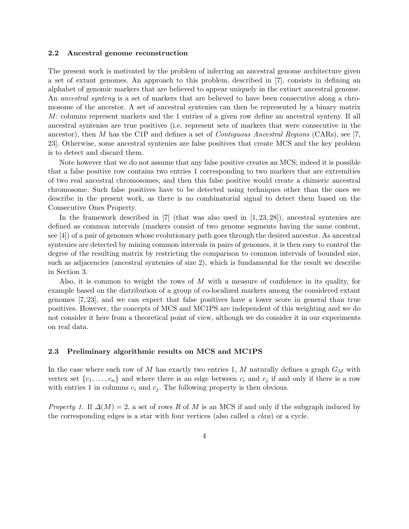#### 2.2 Ancestral genome reconstruction

The present work is motivated by the problem of inferring an ancestral genome architecture given a set of extant genomes. An approach to this problem, described in [7], consists in defining an alphabet of genomic markers that are believed to appear uniquely in the extinct ancestral genome. An ancestral synteny is a set of markers that are believed to have been consecutive along a chromosome of the ancestor. A set of ancestral syntenies can then be represented by a binary matrix M: columns represent markers and the 1 entries of a given row define an ancestral synteny. If all ancestral syntenies are true positives (i.e. represent sets of markers that were consecutive in the ancestor), then M has the C1P and defines a set of Contiguous Ancestral Regions (CARs), see [7, 23]. Otherwise, some ancestral syntenies are false positives that create MCS and the key problem is to detect and discard them.

Note however that we do not assume that any false positive creates an MCS; indeed it is possible that a false positive row contains two entries 1 corresponding to two markers that are extremities of two real ancestral chromosomes, and then this false positive would create a chimeric ancestral chromosome. Such false positives have to be detected using techniques other than the ones we describe in the present work, as there is no combinatorial signal to detect them based on the Consecutive Ones Property.

In the framework described in  $[7]$  (that was also used in  $[1, 23, 28]$ ), ancestral syntenies are defined as common intervals (markers consist of two genome segments having the same content, see [4]) of a pair of genomes whose evolutionary path goes through the desired ancestor. As ancestral syntenies are detected by mining common intervals in pairs of genomes, it is then easy to control the degree of the resulting matrix by restricting the comparison to common intervals of bounded size, such as adjacencies (ancestral syntenies of size 2), which is fundamental for the result we describe in Section 3.

Also, it is common to weight the rows of M with a measure of confidence in its quality, for example based on the distribution of a group of co-localized markers among the considered extant genomes [7, 23], and we can expect that false positives have a lower score in general than true positives. However, the concepts of MCS and MC1PS are independent of this weighting and we do not consider it here from a theoretical point of view, although we do consider it in our experiments on real data.

#### 2.3 Preliminary algorithmic results on MCS and MC1PS

In the case where each row of M has exactly two entries 1, M naturally defines a graph  $G_M$  with vertex set  $\{c_1, \ldots, c_n\}$  and where there is an edge between  $c_i$  and  $c_j$  if and only if there is a row with entries 1 in columns  $c_i$  and  $c_j$ . The following property is then obvious.

*Property 1.* If  $\Delta(M) = 2$ , a set of rows R of M is an MCS if and only if the subgraph induced by the corresponding edges is a star with four vertices (also called a claw) or a cycle.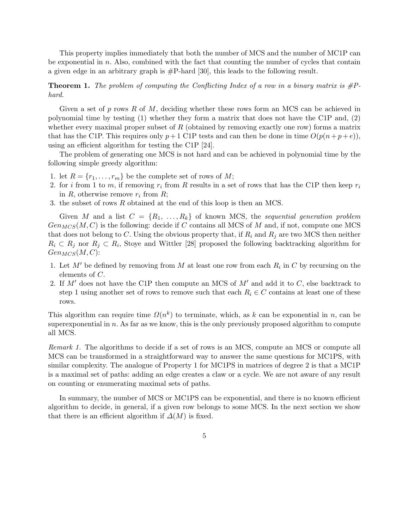This property implies immediately that both the number of MCS and the number of MC1P can be exponential in  $n$ . Also, combined with the fact that counting the number of cycles that contain a given edge in an arbitrary graph is #P-hard [30], this leads to the following result.

**Theorem 1.** The problem of computing the Conflicting Index of a row in a binary matrix is  $\#P$ hard.

Given a set of p rows R of M, deciding whether these rows form an MCS can be achieved in polynomial time by testing (1) whether they form a matrix that does not have the C1P and, (2) whether every maximal proper subset of  $R$  (obtained by removing exactly one row) forms a matrix that has the C1P. This requires only  $p+1$  C1P tests and can then be done in time  $O(p(n+p+e))$ , using an efficient algorithm for testing the C1P [24].

The problem of generating one MCS is not hard and can be achieved in polynomial time by the following simple greedy algorithm:

- 1. let  $R = \{r_1, \ldots, r_m\}$  be the complete set of rows of  $M$ ;
- 2. for *i* from 1 to *m*, if removing  $r_i$  from R results in a set of rows that has the C1P then keep  $r_i$ in  $R$ , otherwise remove  $r_i$  from  $R$ ;
- 3. the subset of rows R obtained at the end of this loop is then an MCS.

Given M and a list  $C = \{R_1, \ldots, R_k\}$  of known MCS, the sequential generation problem  $Gen_{MCS}(M, C)$  is the following: decide if C contains all MCS of M and, if not, compute one MCS that does not belong to C. Using the obvious property that, if  $R_i$  and  $R_j$  are two MCS then neither  $R_i \subset R_j$  nor  $R_j \subset R_i$ , Stoye and Wittler [28] proposed the following backtracking algorithm for  $Gen_{MCS}(M, C)$ :

- 1. Let  $M'$  be defined by removing from M at least one row from each  $R_i$  in C by recursing on the elements of C.
- 2. If  $M'$  does not have the C1P then compute an MCS of  $M'$  and add it to  $C$ , else backtrack to step 1 using another set of rows to remove such that each  $R_i \in C$  contains at least one of these rows.

This algorithm can require time  $\Omega(n^k)$  to terminate, which, as k can be exponential in n, can be superexponential in  $n$ . As far as we know, this is the only previously proposed algorithm to compute all MCS.

Remark 1. The algorithms to decide if a set of rows is an MCS, compute an MCS or compute all MCS can be transformed in a straightforward way to answer the same questions for MC1PS, with similar complexity. The analogue of Property 1 for MC1PS in matrices of degree 2 is that a MC1P is a maximal set of paths: adding an edge creates a claw or a cycle. We are not aware of any result on counting or enumerating maximal sets of paths.

In summary, the number of MCS or MC1PS can be exponential, and there is no known efficient algorithm to decide, in general, if a given row belongs to some MCS. In the next section we show that there is an efficient algorithm if  $\Delta(M)$  is fixed.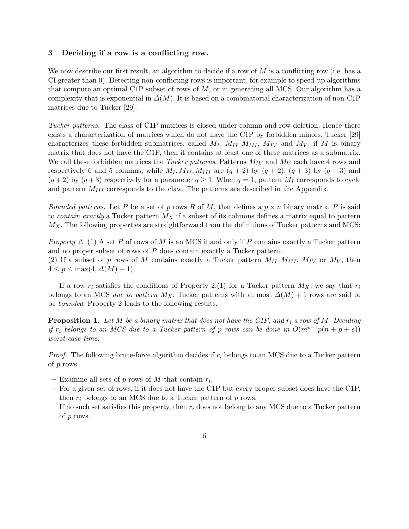## 3 Deciding if a row is a conflicting row.

We now describe our first result, an algorithm to decide if a row of  $M$  is a conflicting row (i.e. has a CI greater than 0). Detecting non-conflicting rows is important, for example to speed-up algorithms that compute an optimal C1P subset of rows of  $M$ , or in generating all MCS. Our algorithm has a complexity that is exponential in  $\Delta(M)$ . It is based on a combinatorial characterization of non-C1P matrices due to Tucker [29].

Tucker patterns. The class of C1P matrices is closed under column and row deletion. Hence there exists a characterization of matrices which do not have the C1P by forbidden minors. Tucker [29] characterizes these forbidden submatrices, called  $M_I$ ,  $M_{II}$   $M_{III}$ ,  $M_{IV}$  and  $M_V$ : if M is binary matrix that does not have the C1P, then it contains at least one of these matrices as a submatrix. We call these forbidden matrices the *Tucker patterns*. Patterns  $M_{IV}$  and  $M_{V}$  each have 4 rows and respectively 6 and 5 columns, while  $M_I, M_{II}, M_{III}$  are  $(q+2)$  by  $(q+2)$ ,  $(q+3)$  by  $(q+3)$  and  $(q+2)$  by  $(q+3)$  respectively for a parameter  $q \ge 1$ . When  $q = 1$ , pattern  $M_I$  corresponds to cycle and pattern  $M_{III}$  corresponds to the claw. The patterns are described in the Appendix.

*Bounded patterns.* Let P be a set of p rows R of M, that defines a  $p \times n$  binary matrix. P is said to *contain exactly* a Tucker pattern  $M_X$  if a subset of its columns defines a matrix equal to pattern  $M_X$ . The following properties are straightforward from the definitions of Tucker patterns and MCS:

*Property 2.* (1) A set P of rows of M is an MCS if and only if P contains exactly a Tucker pattern and no proper subset of rows of P does contain exactly a Tucker pattern. (2) If a subset of p rows of M contains exactly a Tucker pattern  $M_{II}$   $M_{III}$ ,  $M_{IV}$  or  $M_V$ , then  $4 \leq p \leq \max(4, \Delta(M) + 1).$ 

If a row  $r_i$  satisfies the conditions of Property 2.(1) for a Tucker pattern  $M_X$ , we say that  $r_i$ belongs to an MCS due to pattern  $M_X$ . Tucker patterns with at most  $\Delta(M) + 1$  rows are said to be bounded. Property 2 leads to the following results.

**Proposition 1.** Let  $M$  be a binary matrix that does not have the C1P, and  $r_i$  a row of  $M$ . Deciding if r<sub>i</sub> belongs to an MCS due to a Tucker pattern of p rows can be done in  $O(m^{p-1}p(n+p+e))$ worst-case time.

*Proof.* The following brute-force algorithm decides if  $r_i$  belongs to an MCS due to a Tucker pattern of p rows.

- Examine all sets of  $p$  rows of  $M$  that contain  $r_i$ .
- For a given set of rows, if it does not have the C1P but every proper subset does have the C1P, then  $r_i$  belongs to an MCS due to a Tucker pattern of p rows.
- If no such set satisfies this property, then  $r_i$  does not belong to any MCS due to a Tucker pattern of p rows.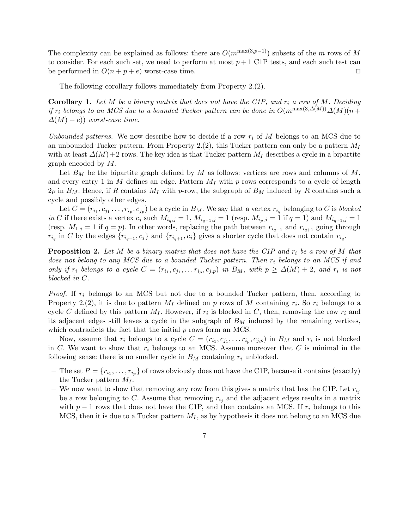The complexity can be explained as follows: there are  $O(m^{\max(3,p-1)})$  subsets of the m rows of M to consider. For each such set, we need to perform at most  $p+1$  C1P tests, and each such test can be performed in  $O(n + p + e)$  worst-case time. □

The following corollary follows immediately from Property 2.(2).

**Corollary 1.** Let M be a binary matrix that does not have the C1P, and  $r_i$  a row of M. Deciding if  $r_i$  belongs to an MCS due to a bounded Tucker pattern can be done in  $O(m^{\max(3,\Delta(M))}\Delta(M)(n+1))$  $\Delta(M) + e$ )) worst-case time.

Unbounded patterns. We now describe how to decide if a row  $r_i$  of M belongs to an MCS due to an unbounded Tucker pattern. From Property 2.(2), this Tucker pattern can only be a pattern  $M_I$ with at least  $\Delta(M)+2$  rows. The key idea is that Tucker pattern  $M_I$  describes a cycle in a bipartite graph encoded by M.

Let  $B_M$  be the bipartite graph defined by M as follows: vertices are rows and columns of M, and every entry 1 in M defines an edge. Pattern  $M_I$  with p rows corresponds to a cycle of length  $2p$  in  $B_M$ . Hence, if R contains  $M_I$  with p-row, the subgraph of  $B_M$  induced by R contains such a cycle and possibly other edges.

Let  $C = (r_{i_1}, c_{j_1} \ldots, r_{i_p}, c_{j_p})$  be a cycle in  $B_M$ . We say that a vertex  $r_{i_q}$  belonging to C is blocked in C if there exists a vertex  $c_j$  such  $M_{i_q,j} = 1$ ,  $M_{i_{q-1},j} = 1$  (resp.  $M_{i_p,j} = 1$  if  $q = 1$ ) and  $M_{i_{q+1},j} = 1$ (resp.  $M_{1,j} = 1$  if  $q = p$ ). In other words, replacing the path between  $r_{i_{q-1}}$  and  $r_{i_{q+1}}$  going through  $r_{i_q}$  in C by the edges  $\{r_{i_{q-1}}, c_j\}$  and  $\{r_{i_{q+1}}, c_j\}$  gives a shorter cycle that does not contain  $r_{i_q}$ .

**Proposition 2.** Let M be a binary matrix that does not have the C1P and  $r_i$  be a row of M that does not belong to any MCS due to a bounded Tucker pattern. Then  $r_i$  belongs to an MCS if and only if  $r_i$  belongs to a cycle  $C = (r_{i_1}, c_{j_1}, \ldots r_{i_p}, c_{j_p})$  in  $B_M$ , with  $p \geq \Delta(M) + 2$ , and  $r_i$  is not blocked in C.

*Proof.* If  $r_i$  belongs to an MCS but not due to a bounded Tucker pattern, then, according to Property 2.(2), it is due to pattern  $M_I$  defined on p rows of M containing  $r_i$ . So  $r_i$  belongs to a cycle C defined by this pattern  $M_I$ . However, if  $r_i$  is blocked in C, then, removing the row  $r_i$  and its adjacent edges still leaves a cycle in the subgraph of  $B<sub>M</sub>$  induced by the remaining vertices, which contradicts the fact that the initial  $p$  rows form an MCS.

Now, assume that  $r_i$  belongs to a cycle  $C = (r_{i_1}, c_{j_1}, \ldots r_{i_p}, c_{j_p})$  in  $B_M$  and  $r_i$  is not blocked in C. We want to show that  $r_i$  belongs to an MCS. Assume moreover that C is minimal in the following sense: there is no smaller cycle in  $B_M$  containing  $r_i$  unblocked.

- The set  $P = \{r_{i_1}, \ldots, r_{i_p}\}\$  of rows obviously does not have the C1P, because it contains (exactly) the Tucker pattern  $M_I$ .
- We now want to show that removing any row from this gives a matrix that has the C1P. Let  $r_{i,j}$ be a row belonging to C. Assume that removing  $r_{i_j}$  and the adjacent edges results in a matrix with  $p-1$  rows that does not have the C1P, and then contains an MCS. If  $r_i$  belongs to this MCS, then it is due to a Tucker pattern  $M_I$ , as by hypothesis it does not belong to an MCS due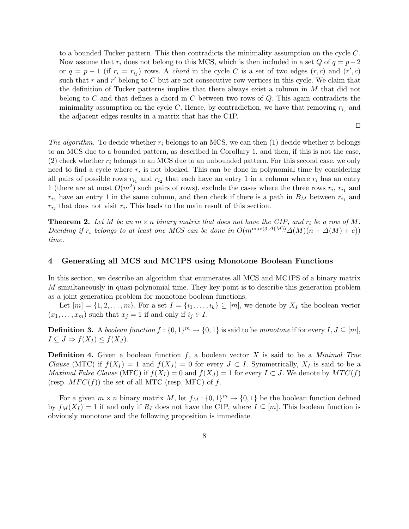to a bounded Tucker pattern. This then contradicts the minimality assumption on the cycle C. Now assume that  $r_i$  does not belong to this MCS, which is then included in a set Q of  $q = p-2$ or  $q = p - 1$  (if  $r_i = r_{i_j}$ ) rows. A chord in the cycle C is a set of two edges  $(r, c)$  and  $(r', c)$ such that r and r' belong to C but are not consecutive row vertices in this cycle. We claim that the definition of Tucker patterns implies that there always exist a column in M that did not belong to C and that defines a chord in C between two rows of  $Q$ . This again contradicts the minimality assumption on the cycle C. Hence, by contradiction, we have that removing  $r_{i_j}$  and the adjacent edges results in a matrix that has the C1P.

⊓⊔

The algorithm. To decide whether  $r_i$  belongs to an MCS, we can then (1) decide whether it belongs to an MCS due to a bounded pattern, as described in Corollary 1, and then, if this is not the case,  $(2)$  check whether  $r_i$  belongs to an MCS due to an unbounded pattern. For this second case, we only need to find a cycle where  $r_i$  is not blocked. This can be done in polynomial time by considering all pairs of possible rows  $r_{i_1}$  and  $r_{i_2}$  that each have an entry 1 in a column where  $r_i$  has an entry 1 (there are at most  $O(m^2)$  such pairs of rows), exclude the cases where the three rows  $r_i$ ,  $r_{i_1}$  and  $r_{i_2}$  have an entry 1 in the same column, and then check if there is a path in  $B_M$  between  $r_{i_1}$  and  $r_{i_2}$  that does not visit  $r_i$ . This leads to the main result of this section.

**Theorem 2.** Let M be an  $m \times n$  binary matrix that does not have the C1P, and  $r_i$  be a row of M. Deciding if r<sub>i</sub> belongs to at least one MCS can be done in  $O(m^{\max(3,\Delta(M))}\Delta(M)(n+\Delta(M)+e))$ time.

## 4 Generating all MCS and MC1PS using Monotone Boolean Functions

In this section, we describe an algorithm that enumerates all MCS and MC1PS of a binary matrix M simultaneously in quasi-polynomial time. They key point is to describe this generation problem as a joint generation problem for monotone boolean functions.

Let  $[m] = \{1, 2, \ldots, m\}$ . For a set  $I = \{i_1, \ldots, i_k\} \subseteq [m]$ , we denote by  $X_I$  the boolean vector  $(x_1, \ldots, x_m)$  such that  $x_j = 1$  if and only if  $i_j \in I$ .

**Definition 3.** A boolean function  $f : \{0,1\}^m \to \{0,1\}$  is said to be monotone if for every  $I, J \subseteq [m]$ ,  $I \subseteq J \Rightarrow f(X_I) \leq f(X_J)$ .

**Definition 4.** Given a boolean function f, a boolean vector X is said to be a *Minimal True Clause* (MTC) if  $f(X_I) = 1$  and  $f(X_J) = 0$  for every  $J \subset I$ . Symmetrically,  $X_I$  is said to be a *Maximal False Clause* (MFC) if  $f(X_I) = 0$  and  $f(X_J) = 1$  for every  $I \subset J$ . We denote by  $MTC(f)$ (resp.  $MFC(f)$ ) the set of all MTC (resp. MFC) of f.

For a given  $m \times n$  binary matrix M, let  $f_M : \{0,1\}^m \to \{0,1\}$  be the boolean function defined by  $f_M(X_I) = 1$  if and only if  $R_I$  does not have the C1P, where  $I \subseteq [m]$ . This boolean function is obviously monotone and the following proposition is immediate.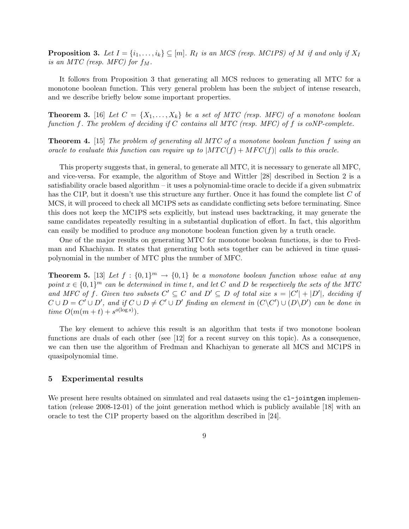**Proposition 3.** Let  $I = \{i_1, \ldots, i_k\} \subseteq [m]$ .  $R_I$  is an MCS (resp. MC1PS) of M if and only if  $X_I$ is an MTC (resp. MFC) for  $f_M$ .

It follows from Proposition 3 that generating all MCS reduces to generating all MTC for a monotone boolean function. This very general problem has been the subject of intense research, and we describe briefly below some important properties.

**Theorem 3.** [16] Let  $C = \{X_1, \ldots, X_k\}$  be a set of MTC (resp. MFC) of a monotone boolean function f. The problem of deciding if C contains all MTC (resp. MFC) of f is coNP-complete.

Theorem 4. [15] The problem of generating all MTC of a monotone boolean function f using an oracle to evaluate this function can require up to  $|MTC(f) + MFC(f)|$  calls to this oracle.

This property suggests that, in general, to generate all MTC, it is necessary to generate all MFC, and vice-versa. For example, the algorithm of Stoye and Wittler [28] described in Section 2 is a satisfiability oracle based algorithm – it uses a polynomial-time oracle to decide if a given submatrix has the C1P, but it doesn't use this structure any further. Once it has found the complete list C of MCS, it will proceed to check all MC1PS sets as candidate conflicting sets before terminating. Since this does not keep the MC1PS sets explicitly, but instead uses backtracking, it may generate the same candidates repeatedly resulting in a substantial duplication of effort. In fact, this algorithm can easily be modified to produce any monotone boolean function given by a truth oracle.

One of the major results on generating MTC for monotone boolean functions, is due to Fredman and Khachiyan. It states that generating both sets together can be achieved in time quasipolynomial in the number of MTC plus the number of MFC.

**Theorem 5.** [13] Let  $f : \{0,1\}^m \to \{0,1\}$  be a monotone boolean function whose value at any point  $x \in \{0,1\}^m$  can be determined in time t, and let C and D be respectively the sets of the MTC and MFC of f. Given two subsets  $C' \subseteq C$  and  $D' \subseteq D$  of total size  $s = |C'| + |D'|$ , deciding if  $C \cup D = C' \cup D'$ , and if  $C \cup D \neq C' \cup D'$  finding an element in  $(C \setminus C') \cup (D \setminus D')$  can be done in time  $O(m(m+t) + s^{o(\log s)})$ .

The key element to achieve this result is an algorithm that tests if two monotone boolean functions are duals of each other (see [12] for a recent survey on this topic). As a consequence, we can then use the algorithm of Fredman and Khachiyan to generate all MCS and MC1PS in quasipolynomial time.

## 5 Experimental results

We present here results obtained on simulated and real datasets using the  $c1$ -jointgen implementation (release 2008-12-01) of the joint generation method which is publicly available [18] with an oracle to test the C1P property based on the algorithm described in [24].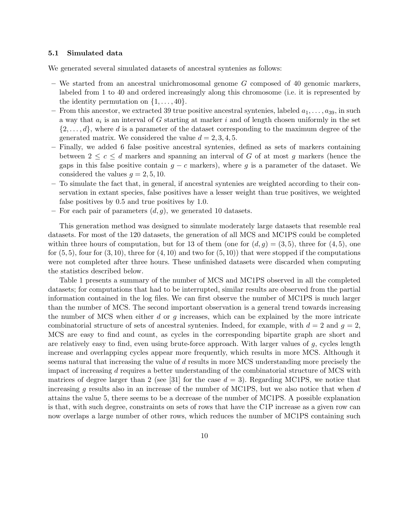#### 5.1 Simulated data

We generated several simulated datasets of ancestral syntenies as follows:

- $-$  We started from an ancestral unichromosomal genome  $G$  composed of 40 genomic markers, labeled from 1 to 40 and ordered increasingly along this chromosome (i.e. it is represented by the identity permutation on  $\{1, \ldots, 40\}.$
- From this ancestor, we extracted 39 true positive ancestral syntenies, labeled  $a_1, \ldots, a_{39}$ , in such a way that  $a_i$  is an interval of G starting at marker i and of length chosen uniformly in the set  $\{2,\ldots,d\}$ , where d is a parameter of the dataset corresponding to the maximum degree of the generated matrix. We considered the value  $d = 2, 3, 4, 5$ .
- Finally, we added 6 false positive ancestral syntenies, defined as sets of markers containing between  $2 \leq c \leq d$  markers and spanning an interval of G of at most q markers (hence the gaps in this false positive contain  $g - c$  markers), where g is a parameter of the dataset. We considered the values  $q = 2, 5, 10$ .
- To simulate the fact that, in general, if ancestral syntenies are weighted according to their conservation in extant species, false positives have a lesser weight than true positives, we weighted false positives by 0.5 and true positives by 1.0.
- For each pair of parameters  $(d, q)$ , we generated 10 datasets.

This generation method was designed to simulate moderately large datasets that resemble real datasets. For most of the 120 datasets, the generation of all MCS and MC1PS could be completed within three hours of computation, but for 13 of them (one for  $(d, g) = (3, 5)$ , three for  $(4, 5)$ , one for  $(5, 5)$ , four for  $(3, 10)$ , three for  $(4, 10)$  and two for  $(5, 10)$ ) that were stopped if the computations were not completed after three hours. These unfinished datasets were discarded when computing the statistics described below.

Table 1 presents a summary of the number of MCS and MC1PS observed in all the completed datasets; for computations that had to be interrupted, similar results are observed from the partial information contained in the log files. We can first observe the number of MC1PS is much larger than the number of MCS. The second important observation is a general trend towards increasing the number of MCS when either  $d$  or  $q$  increases, which can be explained by the more intricate combinatorial structure of sets of ancestral syntenies. Indeed, for example, with  $d = 2$  and  $q = 2$ , MCS are easy to find and count, as cycles in the corresponding bipartite graph are short and are relatively easy to find, even using brute-force approach. With larger values of  $g$ , cycles length increase and overlapping cycles appear more frequently, which results in more MCS. Although it seems natural that increasing the value of d results in more MCS understanding more precisely the impact of increasing d requires a better understanding of the combinatorial structure of MCS with matrices of degree larger than 2 (see [31] for the case  $d = 3$ ). Regarding MC1PS, we notice that increasing  $g$  results also in an increase of the number of MC1PS, but we also notice that when  $d$ attains the value 5, there seems to be a decrease of the number of MC1PS. A possible explanation is that, with such degree, constraints on sets of rows that have the C1P increase as a given row can now overlaps a large number of other rows, which reduces the number of MC1PS containing such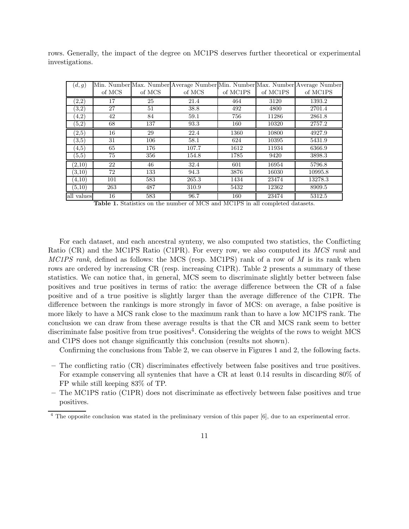|                 |  |  |  |  |  | rows. Generally, the impact of the degree on MC1PS deserves further theoretical or experimental |
|-----------------|--|--|--|--|--|-------------------------------------------------------------------------------------------------|
| investigations. |  |  |  |  |  |                                                                                                 |

| (d, g)                |        |        |        |          |          | Min. Number Max. Number Average Number Min. Number Max. Number Average Number |
|-----------------------|--------|--------|--------|----------|----------|-------------------------------------------------------------------------------|
|                       | of MCS | of MCS | of MCS | of MC1PS | of MC1PS | of MC1PS                                                                      |
| $_{(2,2)}$            | 17     | 25     | 21.4   | 464      | 3120     | 1393.2                                                                        |
| (3,2)                 | 27     | 51     | 38.8   | 492      | 4800     | 2701.4                                                                        |
| (4,2)                 | 42     | 84     | 59.1   | 756      | 11286    | 2861.8                                                                        |
| (5,2)                 | 68     | 137    | 93.3   | 160      | 10320    | 2757.2                                                                        |
| (2, 5)                | 16     | 29     | 22.4   | 1360     | 10800    | 4927.9                                                                        |
| $^{(3,5)}$            | 31     | 106    | 58.1   | 624      | 10395    | 5431.9                                                                        |
| (4,5)                 | 65     | 176    | 107.7  | 1612     | 11934    | 6366.9                                                                        |
| $\scriptstyle{(5,5)}$ | 75     | 356    | 154.8  | 1785     | 9420     | 3898.3                                                                        |
| (2,10)                | 22     | 46     | 32.4   | 601      | 16954    | 5796.8                                                                        |
| (3,10)                | 72     | 133    | 94.3   | 3876     | 16030    | 10995.8                                                                       |
| (4,10)                | 101    | 583    | 265.3  | 1434     | 23474    | 13278.3                                                                       |
| (5,10)                | 263    | 487    | 310.9  | 5432     | 12362    | 8909.5                                                                        |
| all values            | 16     | 583    | 96.7   | 160      | 23474    | 5312.5                                                                        |

Table 1. Statistics on the number of MCS and MC1PS in all completed datasets.

For each dataset, and each ancestral synteny, we also computed two statistics, the Conflicting Ratio (CR) and the MC1PS Ratio (C1PR). For every row, we also computed its MCS rank and MC1PS rank, defined as follows: the MCS (resp. MC1PS) rank of a row of  $M$  is its rank when rows are ordered by increasing CR (resp. increasing C1PR). Table 2 presents a summary of these statistics. We can notice that, in general, MCS seem to discriminate slightly better between false positives and true positives in terms of ratio: the average difference between the CR of a false positive and of a true positive is slightly larger than the average difference of the C1PR. The difference between the rankings is more strongly in favor of MCS: on average, a false positive is more likely to have a MCS rank close to the maximum rank than to have a low MC1PS rank. The conclusion we can draw from these average results is that the CR and MCS rank seem to better discriminate false positive from true positives<sup>4</sup>. Considering the weights of the rows to weight MCS and C1PS does not change significantly this conclusion (results not shown).

Confirming the conclusions from Table 2, we can observe in Figures 1 and 2, the following facts.

- The conflicting ratio (CR) discriminates effectively between false positives and true positives. For example conserving all syntenies that have a CR at least 0.14 results in discarding 80% of FP while still keeping 83% of TP.
- The MC1PS ratio (C1PR) does not discriminate as effectively between false positives and true positives.

<sup>&</sup>lt;sup>4</sup> The opposite conclusion was stated in the preliminary version of this paper [6], due to an experimental error.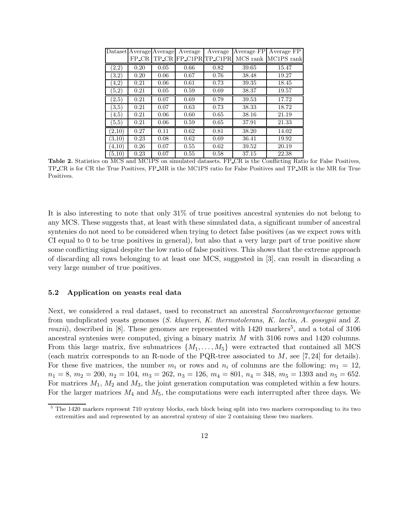|            | Dataset Average Average |       | Average | Average        | Average FP | Average FP |
|------------|-------------------------|-------|---------|----------------|------------|------------|
|            | $FP_CR$                 | TP_CR |         | FP_C1PRTP_C1PR | MCS rank   | MC1PS rank |
| $_{(2,2)}$ | 0.20                    | 0.05  | 0.66    | 0.82           | 39.65      | 15.47      |
| (3,2)      | 0.20                    | 0.06  | 0.67    | 0.76           | 38.48      | 19.27      |
| (4,2)      | 0.21                    | 0.06  | 0.61    | 0.73           | 39.35      | 18.45      |
| (5,2)      | 0.21                    | 0.05  | 0.59    | 0.69           | 38.37      | 19.57      |
| (2,5)      | 0.21                    | 0.07  | 0.69    | 0.79           | 39.53      | 17.72      |
| (3,5)      | 0.21                    | 0.07  | 0.63    | 0.73           | 38.33      | 18.72      |
| (4.5)      | 0.21                    | 0.06  | 0.60    | 0.65           | 38.16      | 21.19      |
| (5,5)      | 0.21                    | 0.06  | 0.59    | 0.65           | 37.91      | 21.33      |
| (2,10)     | 0.27                    | 0.11  | 0.62    | 0.81           | 38.20      | 14.02      |
| (3.10)     | 0.23                    | 0.08  | 0.62    | 0.69           | 36.41      | 19.92      |
| (4.10)     | 0.26                    | 0.07  | 0.55    | 0.62           | 39.52      | 20.19      |
| (5,10)     | 0.23                    | 0.07  | 0.55    | 0.58           | 37.15      | 22.38      |

Table 2. Statistics on MCS and MC1PS on simulated datasets. FP CR is the Conflicting Ratio for False Positives, TP CR is for CR the True Positives, FP MR is the MC1PS ratio for False Positives and TP MR is the MR for True Positives.

It is also interesting to note that only 31% of true positives ancestral syntenies do not belong to any MCS. These suggests that, at least with these simulated data, a significant number of ancestral syntenies do not need to be considered when trying to detect false positives (as we expect rows with CI equal to 0 to be true positives in general), but also that a very large part of true positive show some conflicting signal despite the low ratio of false positives. This shows that the extreme approach of discarding all rows belonging to at least one MCS, suggested in [3], can result in discarding a very large number of true positives.

### 5.2 Application on yeasts real data

Next, we considered a real dataset, used to reconstruct an ancestral Saccahromycetaceae genome from unduplicated yeasts genomes (S. kluyveri, K. thermotolerans, K. lactis, A. gossypii and Z. rouxii), described in [8]. These genomes are represented with  $1420$  markers<sup>5</sup>, and a total of 3106 ancestral syntenies were computed, giving a binary matrix M with 3106 rows and 1420 columns. From this large matrix, five submatrices  $\{M_1, \ldots, M_5\}$  were extracted that contained all MCS (each matrix corresponds to an R-node of the PQR-tree associated to  $M$ , see [7, 24] for details). For these five matrices, the number  $m_i$  or rows and  $n_i$  of columns are the following:  $m_1 = 12$ ,  $n_1 = 8$ ,  $m_2 = 200$ ,  $n_2 = 104$ ,  $m_3 = 262$ ,  $n_3 = 126$ ,  $m_4 = 801$ ,  $n_4 = 348$ ,  $m_5 = 1393$  and  $n_5 = 652$ . For matrices  $M_1$ ,  $M_2$  and  $M_3$ , the joint generation computation was completed within a few hours. For the larger matrices  $M_4$  and  $M_5$ , the computations were each interrupted after three days. We

<sup>&</sup>lt;sup>5</sup> The 1420 markers represent 710 synteny blocks, each block being split into two markers corresponding to its two extremities and and represented by an ancestral synteny of size 2 containing these two markers.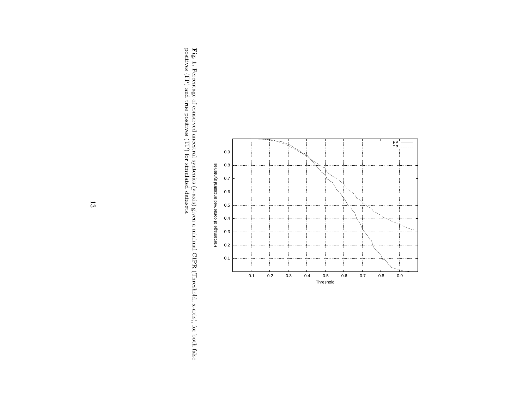

**Fig. 1.** Percentage of conserved ancestral syntenies (y-axis) given a minimal C1PR (Threshold, x-axis), for both false positives (FP) and true positives (TP) for simulated datasets. Percentage of conserved ancestral syntenies (y-axis) given a minimal C1PR (Threshold, x-axis), for both false positives (FP) and true positives (TP) for simulated datasets.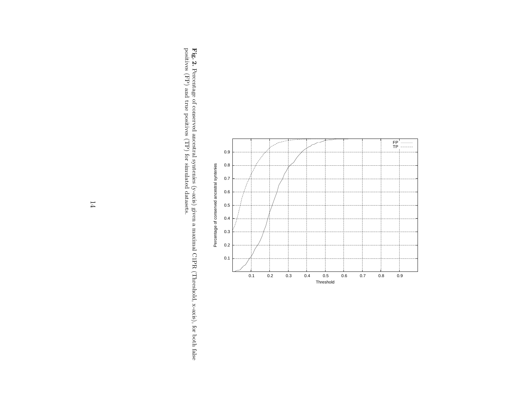

**Fig. 2.** Percentage of conserved ancestral syntenies (y-axis) given a maximal C1PR (Threshold, x-axis), for both false positives (FP) and true positives (TP) for simulated datasets. Percentage of conserved ancestral syntenies (y-axis) given a maximal C1PR (Threshold, x-axis), for both false positives (FP) and true positives (TP) for simulated datasets.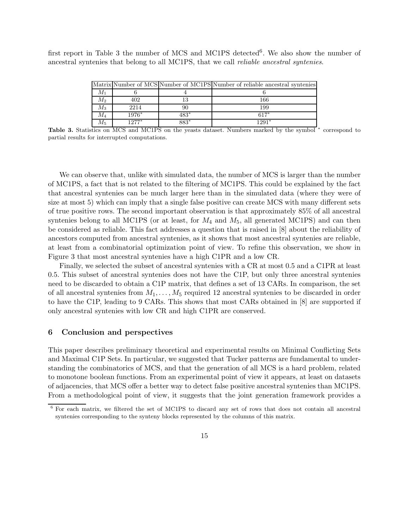first report in Table 3 the number of MCS and MC1PS detected<sup>6</sup>. We also show the number of ancestral syntenies that belong to all MC1PS, that we call reliable ancestral syntenies.

|             |         |      | Matrix Number of MCS Number of MC1PS Number of reliable ancestral syntenies |
|-------------|---------|------|-----------------------------------------------------------------------------|
| $M_1$       |         |      |                                                                             |
| $M_2$       | 402     |      | 166                                                                         |
| $M_3$       | 2214    |      | 199                                                                         |
| $\,M_4$     | $1976*$ | 483* | $617*$                                                                      |
| $M_{\rm 5}$ | 1977*   | 883* | $1291*$                                                                     |

Table 3. Statistics on MCS and MC1PS on the yeasts dataset. Numbers marked by the symbol<sup>\*</sup> correspond to partial results for interrupted computations.

We can observe that, unlike with simulated data, the number of MCS is larger than the number of MC1PS, a fact that is not related to the filtering of MC1PS. This could be explained by the fact that ancestral syntenies can be much larger here than in the simulated data (where they were of size at most 5) which can imply that a single false positive can create MCS with many different sets of true positive rows. The second important observation is that approximately 85% of all ancestral syntenies belong to all MC1PS (or at least, for  $M_4$  and  $M_5$ , all generated MC1PS) and can then be considered as reliable. This fact addresses a question that is raised in [8] about the reliability of ancestors computed from ancestral syntenies, as it shows that most ancestral syntenies are reliable, at least from a combinatorial optimization point of view. To refine this observation, we show in Figure 3 that most ancestral syntenies have a high C1PR and a low CR.

Finally, we selected the subset of ancestral syntenies with a CR at most 0.5 and a C1PR at least 0.5. This subset of ancestral syntenies does not have the C1P, but only three ancestral syntenies need to be discarded to obtain a C1P matrix, that defines a set of 13 CARs. In comparison, the set of all ancestral syntenies from  $M_1, \ldots, M_5$  required 12 ancestral syntenies to be discarded in order to have the C1P, leading to 9 CARs. This shows that most CARs obtained in [8] are supported if only ancestral syntenies with low CR and high C1PR are conserved.

# 6 Conclusion and perspectives

This paper describes preliminary theoretical and experimental results on Minimal Conflicting Sets and Maximal C1P Sets. In particular, we suggested that Tucker patterns are fundamental to understanding the combinatorics of MCS, and that the generation of all MCS is a hard problem, related to monotone boolean functions. From an experimental point of view it appears, at least on datasets of adjacencies, that MCS offer a better way to detect false positive ancestral syntenies than MC1PS. From a methodological point of view, it suggests that the joint generation framework provides a

<sup>6</sup> For each matrix, we filtered the set of MC1PS to discard any set of rows that does not contain all ancestral syntenies corresponding to the synteny blocks represented by the columns of this matrix.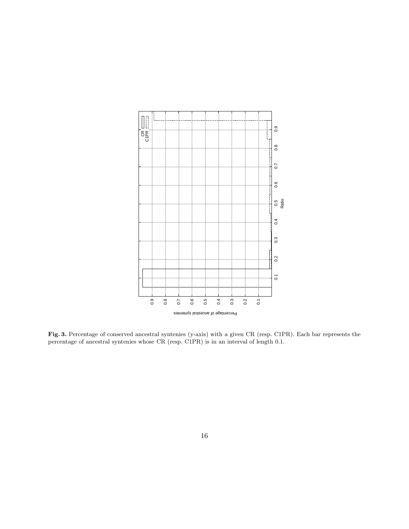

Fig. 3. Percentage of conserved ancestral syntenies (y-axis) with a given CR (resp. C1PR). Each bar represents the percentage of ancestral syntenies whose CR (resp. C1PR) is in an interval of length 0.1.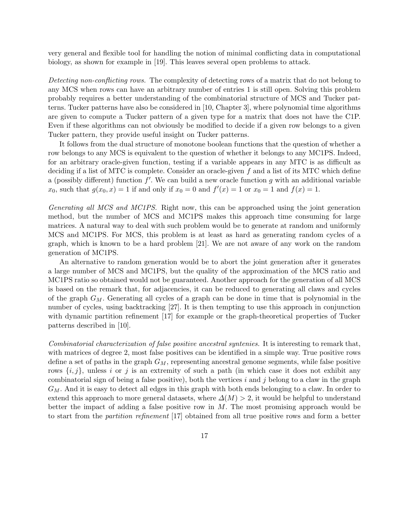very general and flexible tool for handling the notion of minimal conflicting data in computational biology, as shown for example in [19]. This leaves several open problems to attack.

Detecting non-conflicting rows. The complexity of detecting rows of a matrix that do not belong to any MCS when rows can have an arbitrary number of entries 1 is still open. Solving this problem probably requires a better understanding of the combinatorial structure of MCS and Tucker patterns. Tucker patterns have also be considered in [10, Chapter 3], where polynomial time algorithms are given to compute a Tucker pattern of a given type for a matrix that does not have the C1P. Even if these algorithms can not obviously be modified to decide if a given row belongs to a given Tucker pattern, they provide useful insight on Tucker patterns.

It follows from the dual structure of monotone boolean functions that the question of whether a row belongs to any MCS is equivalent to the question of whether it belongs to any MC1PS. Indeed, for an arbitrary oracle-given function, testing if a variable appears in any MTC is as difficult as deciding if a list of MTC is complete. Consider an oracle-given f and a list of its MTC which define a (possibly different) function  $f'$ . We can build a new oracle function g with an additional variable  $x_0$ , such that  $g(x_0, x) = 1$  if and only if  $x_0 = 0$  and  $f'(x) = 1$  or  $x_0 = 1$  and  $f(x) = 1$ .

Generating all MCS and MC1PS. Right now, this can be approached using the joint generation method, but the number of MCS and MC1PS makes this approach time consuming for large matrices. A natural way to deal with such problem would be to generate at random and uniformly MCS and MC1PS. For MCS, this problem is at least as hard as generating random cycles of a graph, which is known to be a hard problem [21]. We are not aware of any work on the random generation of MC1PS.

An alternative to random generation would be to abort the joint generation after it generates a large number of MCS and MC1PS, but the quality of the approximation of the MCS ratio and MC1PS ratio so obtained would not be guaranteed. Another approach for the generation of all MCS is based on the remark that, for adjacencies, it can be reduced to generating all claws and cycles of the graph  $G_M$ . Generating all cycles of a graph can be done in time that is polynomial in the number of cycles, using backtracking [27]. It is then tempting to use this approach in conjunction with dynamic partition refinement [17] for example or the graph-theoretical properties of Tucker patterns described in [10].

Combinatorial characterization of false positive ancestral syntenies. It is interesting to remark that, with matrices of degree 2, most false positives can be identified in a simple way. True positive rows define a set of paths in the graph  $G_M$ , representing ancestral genome segments, while false positive rows  $\{i, j\}$ , unless i or j is an extremity of such a path (in which case it does not exhibit any combinatorial sign of being a false positive), both the vertices  $i$  and  $j$  belong to a claw in the graph  $G_M$ . And it is easy to detect all edges in this graph with both ends belonging to a claw. In order to extend this approach to more general datasets, where  $\Delta(M) > 2$ , it would be helpful to understand better the impact of adding a false positive row in  $M$ . The most promising approach would be to start from the partition refinement [17] obtained from all true positive rows and form a better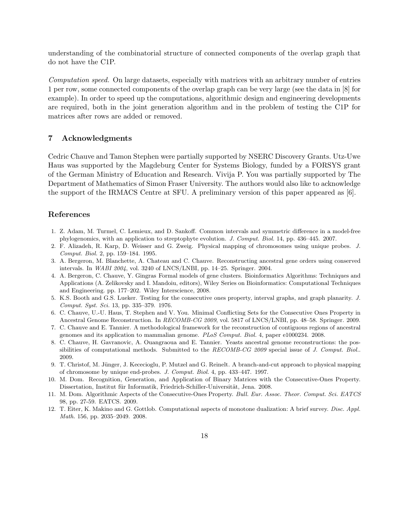understanding of the combinatorial structure of connected components of the overlap graph that do not have the C1P.

Computation speed. On large datasets, especially with matrices with an arbitrary number of entries 1 per row, some connected components of the overlap graph can be very large (see the data in [8] for example). In order to speed up the computations, algorithmic design and engineering developments are required, both in the joint generation algorithm and in the problem of testing the C1P for matrices after rows are added or removed.

## 7 Acknowledgments

Cedric Chauve and Tamon Stephen were partially supported by NSERC Discovery Grants. Utz-Uwe Haus was supported by the Magdeburg Center for Systems Biology, funded by a FORSYS grant of the German Ministry of Education and Research. Vivija P. You was partially supported by The Department of Mathematics of Simon Fraser University. The authors would also like to acknowledge the support of the IRMACS Centre at SFU. A preliminary version of this paper appeared as [6].

# References

- 1. Z. Adam, M. Turmel, C. Lemieux, and D. Sankoff. Common intervals and symmetric difference in a model-free phylogenomics, with an application to streptophyte evolution. J. Comput. Biol. 14, pp. 436–445. 2007.
- 2. F. Alizadeh, R. Karp, D. Weisser and G. Zweig. Physical mapping of chromosomes using unique probes. J. Comput. Biol. 2, pp. 159–184. 1995.
- 3. A. Bergeron, M. Blanchette, A. Chateau and C. Chauve. Reconstructing ancestral gene orders using conserved intervals. In WABI 2004, vol. 3240 of LNCS/LNBI, pp. 14–25. Springer. 2004.
- 4. A. Bergeron, C. Chauve, Y. Gingras Formal models of gene clusters. Bioinformatics Algorithms: Techniques and Applications (A. Zelikovsky and I. Mandoiu, editors), Wiley Series on Bioinformatics: Computational Techniques and Engineering. pp. 177–202. Wiley Interscience, 2008.
- 5. K.S. Booth and G.S. Lueker. Testing for the consecutive ones property, interval graphs, and graph planarity. J. Comput. Syst. Sci. 13, pp. 335–379. 1976.
- 6. C. Chauve, U.-U. Haus, T. Stephen and V. You. Minimal Conflicting Sets for the Consecutive Ones Property in Ancestral Genome Reconstruction. In RECOMB-CG 2009, vol. 5817 of LNCS/LNBI, pp. 48–58. Springer. 2009.
- 7. C. Chauve and E. Tannier. A methodological framework for the reconstruction of contiguous regions of ancestral genomes and its application to mammalian genome. PLoS Comput. Biol. 4, paper e1000234. 2008.
- 8. C. Chauve, H. Gavranovic, A. Ouangraoua and E. Tannier. Yeasts ancestral genome reconstructions: the possibilities of computational methods. Submitted to the  $RECOMB\text{-}CG$  2009 special issue of J. Comput. Biol.. 2009.
- 9. T. Christof, M. Jünger, J. Kececioglu, P. Mutzel and G. Reinelt. A branch-and-cut approach to physical mapping of chromosome by unique end-probes. J. Comput. Biol. 4, pp. 433–447. 1997.
- 10. M. Dom. Recognition, Generation, and Application of Binary Matrices with the Consecutive-Ones Property. Dissertation, Institut für Informatik, Friedrich-Schiller-Universität, Jena. 2008.
- 11. M. Dom. Algorithmic Aspects of the Consecutive-Ones Property. Bull. Eur. Assoc. Theor. Comput. Sci. EATCS 98, pp. 27-59. EATCS. 2009.
- 12. T. Eiter, K. Makino and G. Gottlob. Computational aspects of monotone dualization: A brief survey. Disc. Appl. Math. 156, pp. 2035–2049. 2008.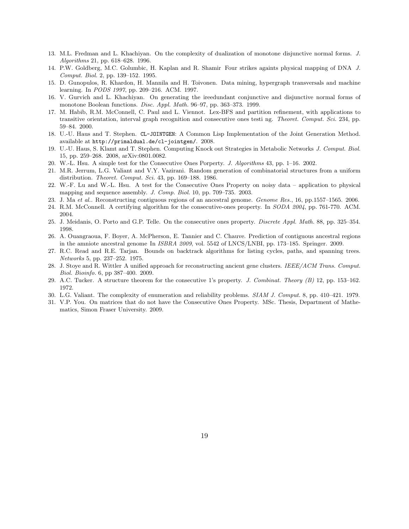- 13. M.L. Fredman and L. Khachiyan. On the complexity of dualization of monotone disjunctive normal forms. J. Algorithms 21, pp. 618–628. 1996.
- 14. P.W. Goldberg, M.C. Golumbic, H. Kaplan and R. Shamir Four strikes againts physical mapping of DNA J. Comput. Biol. 2, pp. 139–152. 1995.
- 15. D. Gunopulos, R. Khardon, H. Mannila and H. Toivonen. Data mining, hypergraph transversals and machine learning. In PODS 1997, pp. 209–216. ACM. 1997.
- 16. V. Gurvich and L. Khachiyan. On generating the ireedundant conjunctive and disjunctive normal forms of monotone Boolean functions. Disc. Appl. Math. 96–97, pp. 363–373. 1999.
- 17. M. Habib, R.M. McConnell, C. Paul and L. Viennot. Lex-BFS and partition refinement, with applications to transitive orientation, interval graph recognition and consecutive ones testi ng. Theoret. Comput. Sci. 234, pp. 59–84. 2000.
- 18. U.-U. Haus and T. Stephen. CL-JOINTGEN: A Common Lisp Implementation of the Joint Generation Method. available at http://primaldual.de/cl-jointgen/. 2008.
- 19. U.-U. Haus, S. Klamt and T. Stephen. Computing Knock out Strategies in Metabolic Networks J. Comput. Biol. 15, pp. 259–268. 2008, arXiv:0801.0082.
- 20. W.-L. Hsu. A simple test for the Consecutive Ones Porperty. J. Algorithms 43, pp. 1–16. 2002.
- 21. M.R. Jerrum, L.G. Valiant and V.Y. Vazirani. Random generation of combinatorial structures from a uniform distribution. Theoret. Comput. Sci. 43, pp. 169–188. 1986.
- 22. W.-F. Lu and W.-L. Hsu. A test for the Consecutive Ones Property on noisy data application to physical mapping and sequence assembly. J. Comp. Biol. 10, pp. 709–735. 2003.
- 23. J. Ma et al.. Reconstructing contiguous regions of an ancestral genome. Genome Res., 16, pp.1557–1565. 2006.
- 24. R.M. McConnell. A certifying algorithm for the consecutive-ones property. In SODA 2004, pp. 761-770. ACM. 2004.
- 25. J. Meidanis, O. Porto and G.P. Telle. On the consecutive ones property. Discrete Appl. Math. 88, pp. 325–354. 1998.
- 26. A. Ouangraoua, F. Boyer, A. McPherson, E. Tannier and C. Chauve. Prediction of contiguous ancestral regions in the amniote ancestral genome In ISBRA 2009, vol. 5542 of LNCS/LNBI, pp. 173–185. Springer. 2009.
- 27. R.C. Read and R.E. Tarjan. Bounds on backtrack algorithms for listing cycles, paths, and spanning trees. Networks 5, pp. 237–252. 1975.
- 28. J. Stove and R. Wittler A unified approach for reconstructing ancient gene clusters. IEEE/ACM Trans. Comput. Biol. Bioinfo. 6, pp 387–400. 2009.
- 29. A.C. Tucker. A structure theorem for the consecutive 1's property. J. Combinat. Theory (B) 12, pp. 153–162. 1972.
- 30. L.G. Valiant. The complexity of enumeration and reliability problems. SIAM J. Comput. 8, pp. 410–421. 1979.
- 31. V.P. You. On matrices that do not have the Consecutive Ones Property. MSc. Thesis, Department of Mathematics, Simon Fraser University. 2009.